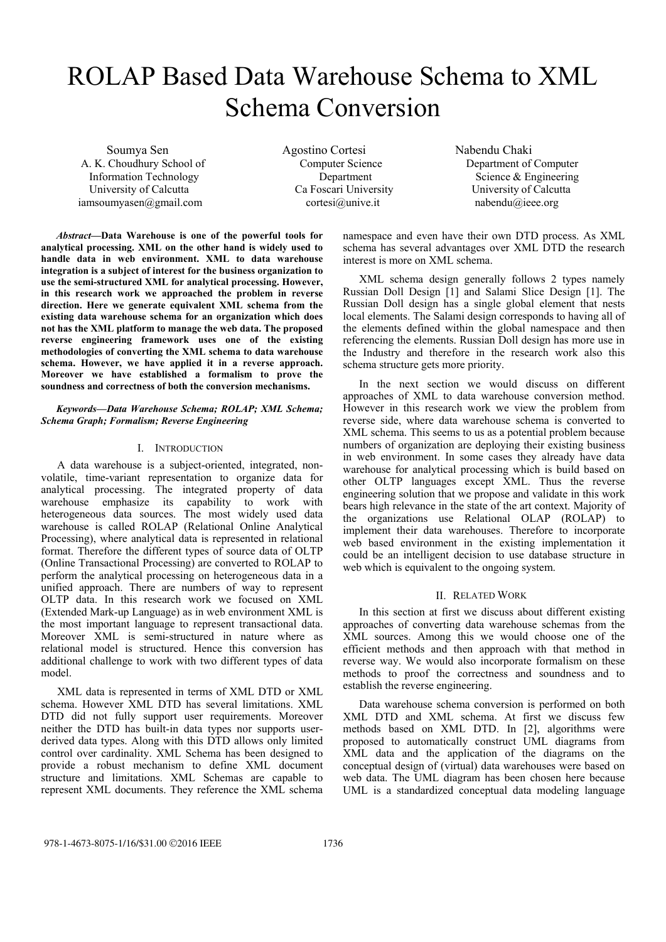# ROLAP Based Data Warehouse Schema to XML Schema Conversion

A. K. Choudhury School of **Computer Science Computer Science Computer Science** *Per 1st Affiliation (Authorities Affiliation Computer Particularly Computer Particularly Computer Particularly Computer Particularly Comp* **University of Calcutta** iamsoumyasen@gmail.com cortesi@unive.it nabendu@ieee.org Information Technology Department

Soumya Sen Agostino Cortesi Nabendu Chaki

Department of Computer<br>Science & Engineering Ca Foscari University University University of Calcutta cortesi $\omega$ unive.it nabendu $\omega$ ieee.org

*Abstract***—Data Warehouse is one of the powerful tools for analytical processing. XML on the other hand is widely used to handle data in web environment. XML to data warehouse integration is a subject of interest for the business organization to use the semi-structured XML for analytical processing. However, in this research work we approached the problem in reverse direction. Here we generate equivalent XML schema from the existing data warehouse schema for an organization which does not has the XML platform to manage the web data. The proposed reverse engineering framework uses one of the existing methodologies of converting the XML schema to data warehouse schema. However, we have applied it in a reverse approach. Moreover we have established a formalism to prove the soundness and correctness of both the conversion mechanisms.** 

# *Keywords—Data Warehouse Schema; ROLAP; XML Schema; Schema Graph; Formalism; Reverse Engineering*

### I. INTRODUCTION

A data warehouse is a subject-oriented, integrated, nonvolatile, time-variant representation to organize data for analytical processing. The integrated property of data warehouse emphasize its capability to work with heterogeneous data sources. The most widely used data warehouse is called ROLAP (Relational Online Analytical Processing), where analytical data is represented in relational format. Therefore the different types of source data of OLTP (Online Transactional Processing) are converted to ROLAP to perform the analytical processing on heterogeneous data in a unified approach. There are numbers of way to represent OLTP data. In this research work we focused on XML (Extended Mark-up Language) as in web environment XML is the most important language to represent transactional data. Moreover XML is semi-structured in nature where as relational model is structured. Hence this conversion has additional challenge to work with two different types of data model.

XML data is represented in terms of XML DTD or XML schema. However XML DTD has several limitations. XML DTD did not fully support user requirements. Moreover neither the DTD has built-in data types nor supports userderived data types. Along with this DTD allows only limited control over cardinality. XML Schema has been designed to provide a robust mechanism to define XML document structure and limitations. XML Schemas are capable to represent XML documents. They reference the XML schema

namespace and even have their own DTD process. As XML schema has several advantages over XML DTD the research interest is more on XML schema.

XML schema design generally follows 2 types namely Russian Doll Design [1] and Salami Slice Design [1]. The Russian Doll design has a single global element that nests local elements. The Salami design corresponds to having all of the elements defined within the global namespace and then referencing the elements. Russian Doll design has more use in the Industry and therefore in the research work also this schema structure gets more priority.

In the next section we would discuss on different approaches of XML to data warehouse conversion method. However in this research work we view the problem from reverse side, where data warehouse schema is converted to XML schema. This seems to us as a potential problem because numbers of organization are deploying their existing business in web environment. In some cases they already have data warehouse for analytical processing which is build based on other OLTP languages except XML. Thus the reverse engineering solution that we propose and validate in this work bears high relevance in the state of the art context. Majority of the organizations use Relational OLAP (ROLAP) to implement their data warehouses. Therefore to incorporate web based environment in the existing implementation it could be an intelligent decision to use database structure in web which is equivalent to the ongoing system.

#### II. RELATED WORK

In this section at first we discuss about different existing approaches of converting data warehouse schemas from the XML sources. Among this we would choose one of the efficient methods and then approach with that method in reverse way. We would also incorporate formalism on these methods to proof the correctness and soundness and to establish the reverse engineering.

Data warehouse schema conversion is performed on both XML DTD and XML schema. At first we discuss few methods based on XML DTD. In [2], algorithms were proposed to automatically construct UML diagrams from XML data and the application of the diagrams on the conceptual design of (virtual) data warehouses were based on web data. The UML diagram has been chosen here because UML is a standardized conceptual data modeling language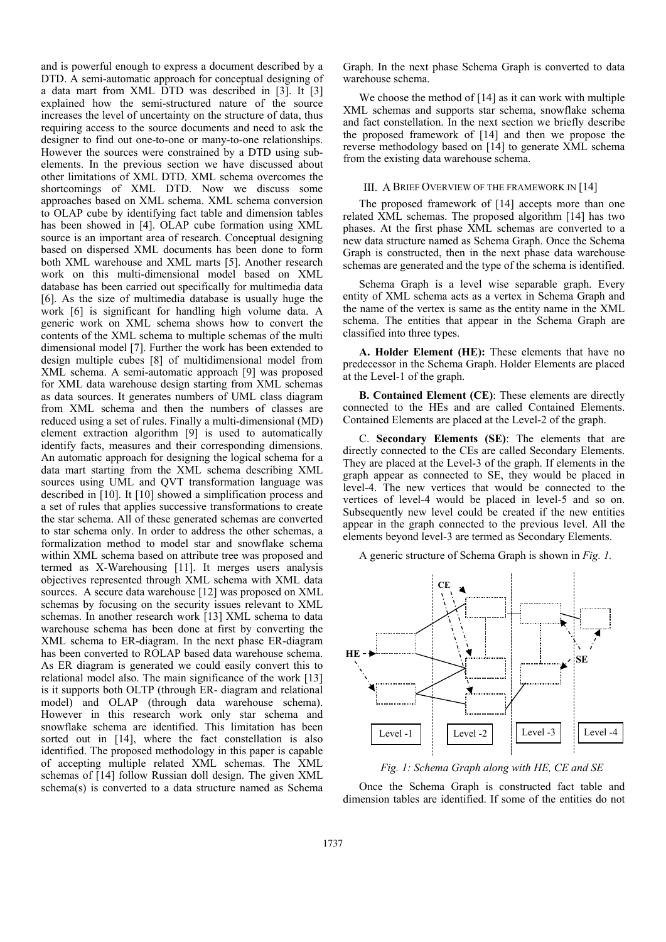and is powerful enough to express a document described by a DTD. A semi-automatic approach for conceptual designing of a data mart from XML DTD was described in [3]. It [3] explained how the semi-structured nature of the source increases the level of uncertainty on the structure of data, thus requiring access to the source documents and need to ask the designer to find out one-to-one or many-to-one relationships. However the sources were constrained by a DTD using subelements. In the previous section we have discussed about other limitations of XML DTD. XML schema overcomes the shortcomings of XML DTD. Now we discuss some approaches based on XML schema. XML schema conversion to OLAP cube by identifying fact table and dimension tables has been showed in [4]. OLAP cube formation using XML source is an important area of research. Conceptual designing based on dispersed XML documents has been done to form both XML warehouse and XML marts [5]. Another research work on this multi-dimensional model based on XML database has been carried out specifically for multimedia data [6]. As the size of multimedia database is usually huge the work [6] is significant for handling high volume data. A generic work on XML schema shows how to convert the contents of the XML schema to multiple schemas of the multi dimensional model [7]. Further the work has been extended to design multiple cubes [8] of multidimensional model from XML schema. A semi-automatic approach [9] was proposed for XML data warehouse design starting from XML schemas as data sources. It generates numbers of UML class diagram from XML schema and then the numbers of classes are reduced using a set of rules. Finally a multi-dimensional (MD) element extraction algorithm [9] is used to automatically identify facts, measures and their corresponding dimensions. An automatic approach for designing the logical schema for a data mart starting from the XML schema describing XML sources using UML and QVT transformation language was described in [10]. It [10] showed a simplification process and a set of rules that applies successive transformations to create the star schema. All of these generated schemas are converted to star schema only. In order to address the other schemas, a formalization method to model star and snowflake schema within XML schema based on attribute tree was proposed and termed as X-Warehousing [11]. It merges users analysis objectives represented through XML schema with XML data sources. A secure data warehouse [12] was proposed on XML schemas by focusing on the security issues relevant to XML schemas. In another research work [13] XML schema to data warehouse schema has been done at first by converting the XML schema to ER-diagram. In the next phase ER-diagram has been converted to ROLAP based data warehouse schema. As ER diagram is generated we could easily convert this to relational model also. The main significance of the work [13] is it supports both OLTP (through ER- diagram and relational model) and OLAP (through data warehouse schema). However in this research work only star schema and snowflake schema are identified. This limitation has been sorted out in [14], where the fact constellation is also identified. The proposed methodology in this paper is capable of accepting multiple related XML schemas. The XML schemas of [14] follow Russian doll design. The given XML schema(s) is converted to a data structure named as Schema

Graph. In the next phase Schema Graph is converted to data warehouse schema.

We choose the method of [14] as it can work with multiple XML schemas and supports star schema, snowflake schema and fact constellation. In the next section we briefly describe the proposed framework of [14] and then we propose the reverse methodology based on [14] to generate XML schema from the existing data warehouse schema.

#### III. A BRIEF OVERVIEW OF THE FRAMEWORK IN [14]

The proposed framework of [14] accepts more than one related XML schemas. The proposed algorithm [14] has two phases. At the first phase XML schemas are converted to a new data structure named as Schema Graph. Once the Schema Graph is constructed, then in the next phase data warehouse schemas are generated and the type of the schema is identified.

Schema Graph is a level wise separable graph. Every entity of XML schema acts as a vertex in Schema Graph and the name of the vertex is same as the entity name in the XML schema. The entities that appear in the Schema Graph are classified into three types.

**A. Holder Element (HE):** These elements that have no predecessor in the Schema Graph. Holder Elements are placed at the Level-1 of the graph.

**B. Contained Element (CE)**: These elements are directly connected to the HEs and are called Contained Elements. Contained Elements are placed at the Level-2 of the graph.

C. **Secondary Elements (SE)**: The elements that are directly connected to the CEs are called Secondary Elements. They are placed at the Level-3 of the graph. If elements in the graph appear as connected to SE, they would be placed in level-4. The new vertices that would be connected to the vertices of level-4 would be placed in level-5 and so on. Subsequently new level could be created if the new entities appear in the graph connected to the previous level. All the elements beyond level-3 are termed as Secondary Elements.

A generic structure of Schema Graph is shown in *Fig. 1.*



*Fig. 1: Schema Graph along with HE, CE and SE* 

Once the Schema Graph is constructed fact table and dimension tables are identified. If some of the entities do not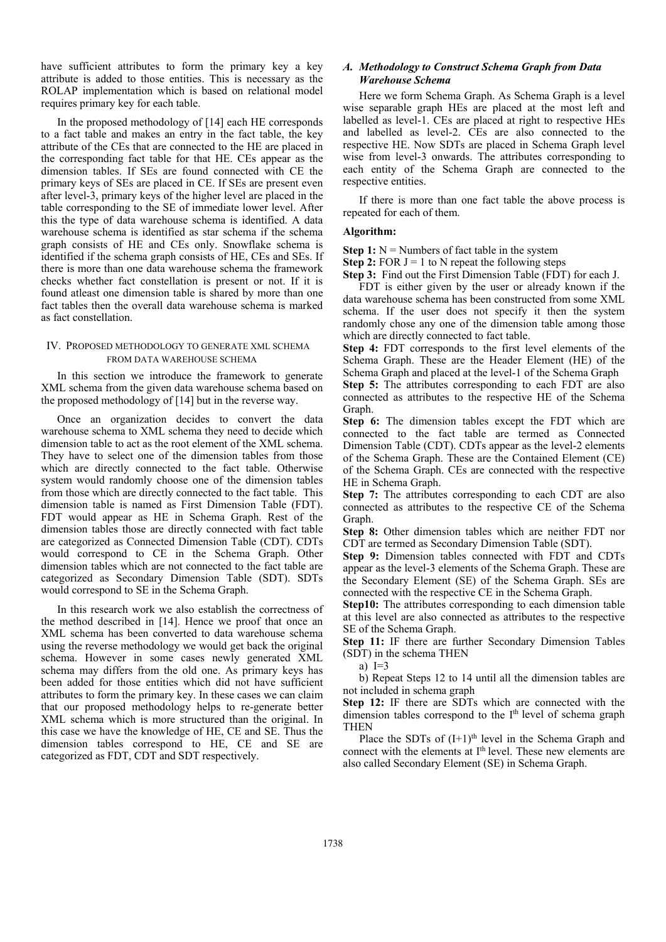have sufficient attributes to form the primary key a key attribute is added to those entities. This is necessary as the ROLAP implementation which is based on relational model requires primary key for each table.

In the proposed methodology of [14] each HE corresponds to a fact table and makes an entry in the fact table, the key attribute of the CEs that are connected to the HE are placed in the corresponding fact table for that HE. CEs appear as the dimension tables. If SEs are found connected with CE the primary keys of SEs are placed in CE. If SEs are present even after level-3, primary keys of the higher level are placed in the table corresponding to the SE of immediate lower level. After this the type of data warehouse schema is identified. A data warehouse schema is identified as star schema if the schema graph consists of HE and CEs only. Snowflake schema is identified if the schema graph consists of HE, CEs and SEs. If there is more than one data warehouse schema the framework checks whether fact constellation is present or not. If it is found atleast one dimension table is shared by more than one fact tables then the overall data warehouse schema is marked as fact constellation.

# IV. PROPOSED METHODOLOGY TO GENERATE XML SCHEMA FROM DATA WAREHOUSE SCHEMA

In this section we introduce the framework to generate XML schema from the given data warehouse schema based on the proposed methodology of [14] but in the reverse way.

Once an organization decides to convert the data warehouse schema to XML schema they need to decide which dimension table to act as the root element of the XML schema. They have to select one of the dimension tables from those which are directly connected to the fact table. Otherwise system would randomly choose one of the dimension tables from those which are directly connected to the fact table. This dimension table is named as First Dimension Table (FDT). FDT would appear as HE in Schema Graph. Rest of the dimension tables those are directly connected with fact table are categorized as Connected Dimension Table (CDT). CDTs would correspond to CE in the Schema Graph. Other dimension tables which are not connected to the fact table are categorized as Secondary Dimension Table (SDT). SDTs would correspond to SE in the Schema Graph.

In this research work we also establish the correctness of the method described in [14]. Hence we proof that once an XML schema has been converted to data warehouse schema using the reverse methodology we would get back the original schema. However in some cases newly generated XML schema may differs from the old one. As primary keys has been added for those entities which did not have sufficient attributes to form the primary key. In these cases we can claim that our proposed methodology helps to re-generate better XML schema which is more structured than the original. In this case we have the knowledge of HE, CE and SE. Thus the dimension tables correspond to HE, CE and SE are categorized as FDT, CDT and SDT respectively.

# *A. Methodology to Construct Schema Graph from Data Warehouse Schema*

Here we form Schema Graph. As Schema Graph is a level wise separable graph HEs are placed at the most left and labelled as level-1. CEs are placed at right to respective HEs and labelled as level-2. CEs are also connected to the respective HE. Now SDTs are placed in Schema Graph level wise from level-3 onwards. The attributes corresponding to each entity of the Schema Graph are connected to the respective entities.

If there is more than one fact table the above process is repeated for each of them.

# **Algorithm:**

**Step 1:**  $N =$  Numbers of fact table in the system

**Step 2:** FOR  $J = 1$  to N repeat the following steps

**Step 3:** Find out the First Dimension Table (FDT) for each J.

FDT is either given by the user or already known if the data warehouse schema has been constructed from some XML schema. If the user does not specify it then the system randomly chose any one of the dimension table among those which are directly connected to fact table.

**Step 4:** FDT corresponds to the first level elements of the Schema Graph. These are the Header Element (HE) of the Schema Graph and placed at the level-1 of the Schema Graph **Step 5:** The attributes corresponding to each FDT are also connected as attributes to the respective HE of the Schema Graph.

Step 6: The dimension tables except the FDT which are connected to the fact table are termed as Connected Dimension Table (CDT). CDTs appear as the level-2 elements of the Schema Graph. These are the Contained Element (CE) of the Schema Graph. CEs are connected with the respective HE in Schema Graph.

**Step 7:** The attributes corresponding to each CDT are also connected as attributes to the respective CE of the Schema Graph

**Step 8:** Other dimension tables which are neither FDT nor CDT are termed as Secondary Dimension Table (SDT).

**Step 9:** Dimension tables connected with FDT and CDTs appear as the level-3 elements of the Schema Graph. These are the Secondary Element (SE) of the Schema Graph. SEs are connected with the respective CE in the Schema Graph.

**Step10:** The attributes corresponding to each dimension table at this level are also connected as attributes to the respective SE of the Schema Graph.

**Step 11:** IF there are further Secondary Dimension Tables (SDT) in the schema THEN

a)  $I=3$ 

b) Repeat Steps 12 to 14 until all the dimension tables are not included in schema graph

**Step 12:** IF there are SDTs which are connected with the dimension tables correspond to the I<sup>th</sup> level of schema graph **THEN** 

Place the SDTs of  $(I+1)$ <sup>th</sup> level in the Schema Graph and connect with the elements at I<sup>th</sup> level. These new elements are also called Secondary Element (SE) in Schema Graph.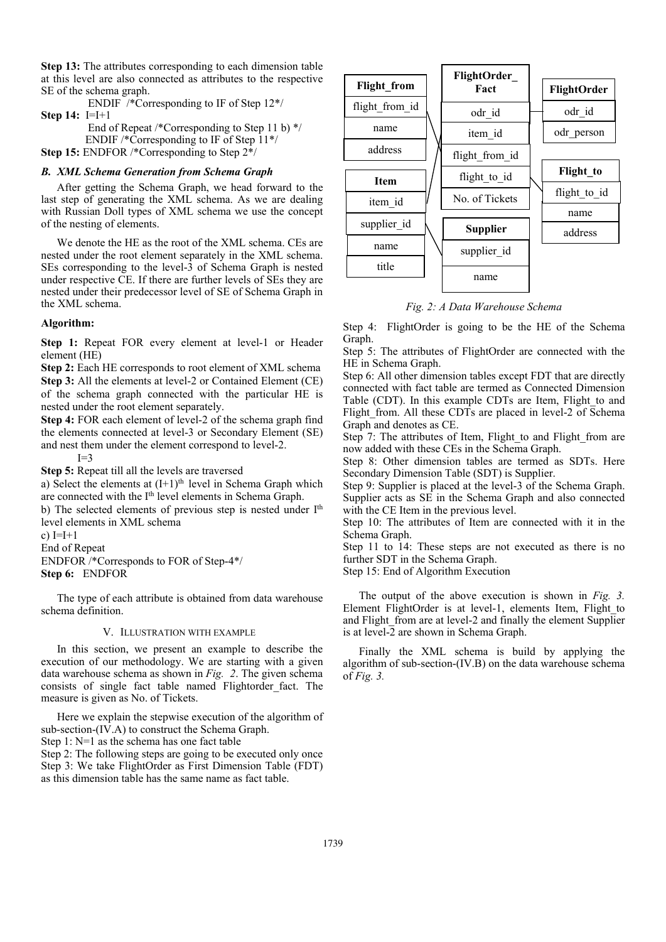**Step 13:** The attributes corresponding to each dimension table at this level are also connected as attributes to the respective SE of the schema graph.

 ENDIF /\*Corresponding to IF of Step 12\*/ **Step 14:** I=I+1 End of Repeat /\*Corresponding to Step 11 b) \*/

ENDIF /\*Corresponding to IF of Step 11\*/

**Step 15:** ENDFOR /\*Corresponding to Step 2\*/

# *B. XML Schema Generation from Schema Graph*

After getting the Schema Graph, we head forward to the last step of generating the XML schema. As we are dealing with Russian Doll types of XML schema we use the concept of the nesting of elements.

We denote the HE as the root of the XML schema. CEs are nested under the root element separately in the XML schema. SEs corresponding to the level-3 of Schema Graph is nested under respective CE. If there are further levels of SEs they are nested under their predecessor level of SE of Schema Graph in the XML schema.

#### **Algorithm:**

**Step 1:** Repeat FOR every element at level-1 or Header element (HE)

**Step 2:** Each HE corresponds to root element of XML schema **Step 3:** All the elements at level-2 or Contained Element (CE) of the schema graph connected with the particular HE is nested under the root element separately.

**Step 4:** FOR each element of level-2 of the schema graph find the elements connected at level-3 or Secondary Element (SE) and nest them under the element correspond to level-2.

 $I=3$ 

**Step 5:** Repeat till all the levels are traversed

a) Select the elements at  $(I+1)$ <sup>th</sup> level in Schema Graph which are connected with the I<sup>th</sup> level elements in Schema Graph.

b) The selected elements of previous step is nested under  $I<sup>th</sup>$ level elements in XML schema

c)  $I=I+1$ 

End of Repeat

ENDFOR /\*Corresponds to FOR of Step-4\*/ **Step 6:** ENDFOR

The type of each attribute is obtained from data warehouse schema definition.

# V. ILLUSTRATION WITH EXAMPLE

In this section, we present an example to describe the execution of our methodology. We are starting with a given data warehouse schema as shown in *Fig. 2*. The given schema consists of single fact table named Flightorder fact. The measure is given as No. of Tickets.

Here we explain the stepwise execution of the algorithm of sub-section- $(V.A)$  to construct the Schema Graph. Step 1: N=1 as the schema has one fact table

Step 2: The following steps are going to be executed only once Step 3: We take FlightOrder as First Dimension Table (FDT) as this dimension table has the same name as fact table.



*Fig. 2: A Data Warehouse Schema* 

Step 4: FlightOrder is going to be the HE of the Schema Graph.

Step 5: The attributes of FlightOrder are connected with the HE in Schema Graph.

Step 6: All other dimension tables except FDT that are directly connected with fact table are termed as Connected Dimension Table (CDT). In this example CDTs are Item, Flight to and Flight from. All these CDTs are placed in level-2 of  $\overline{S}$ chema Graph and denotes as CE.

Step 7: The attributes of Item, Flight to and Flight from are now added with these CEs in the Schema Graph.

Step 8: Other dimension tables are termed as SDTs. Here Secondary Dimension Table (SDT) is Supplier.

Step 9: Supplier is placed at the level-3 of the Schema Graph. Supplier acts as SE in the Schema Graph and also connected with the CE Item in the previous level.

Step 10: The attributes of Item are connected with it in the Schema Graph.

Step 11 to 14: These steps are not executed as there is no further SDT in the Schema Graph.

Step 15: End of Algorithm Execution

The output of the above execution is shown in *Fig. 3.*  Element FlightOrder is at level-1, elements Item, Flight to and Flight from are at level-2 and finally the element Supplier is at level-2 are shown in Schema Graph.

Finally the XML schema is build by applying the algorithm of sub-section-(IV.B) on the data warehouse schema of *Fig. 3.*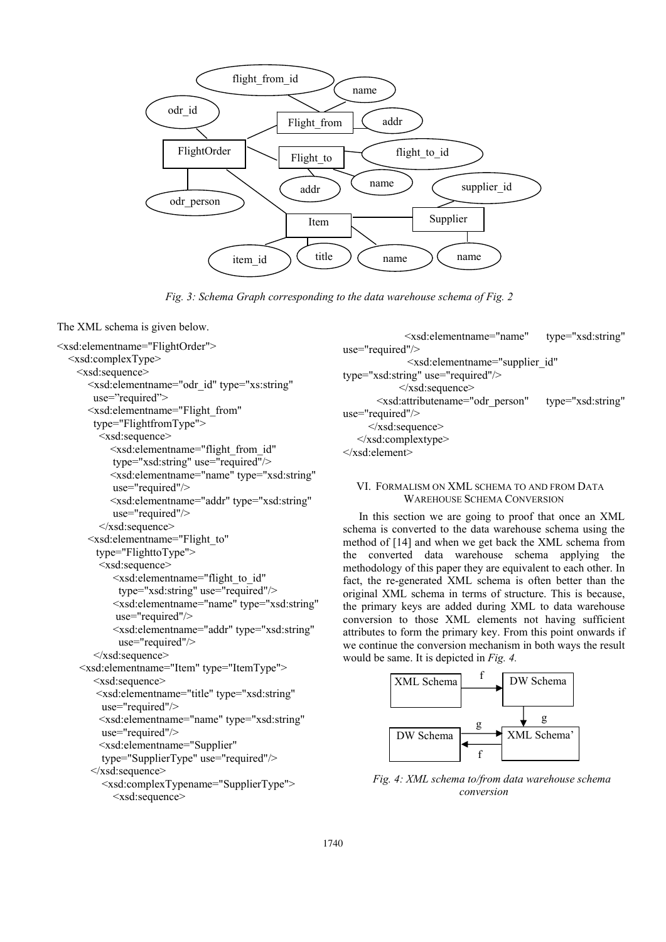

*Fig. 3: Schema Graph corresponding to the data warehouse schema of Fig. 2*

# The XML schema is given below.

<xsd:elementname="FlightOrder"> <xsd:complexType> <xsd:sequence> <xsd:elementname="odr\_id" type="xs:string" use="required"> <xsd:elementname="Flight\_from" type="FlightfromType"> <xsd:sequence> <xsd:elementname="flight\_from\_id" type="xsd:string" use="required"/> <xsd:elementname="name" type="xsd:string" use="required"/> <xsd:elementname="addr" type="xsd:string" use="required"/>  $\le$ /xsd:sequence> <xsd:elementname="Flight\_to" type="FlighttoType"> <xsd:sequence> <xsd:elementname="flight\_to\_id" type="xsd:string" use="required"/> <xsd:elementname="name" type="xsd:string" use="required"/> <xsd:elementname="addr" type="xsd:string" use="required"/> </xsd:sequence> <xsd:elementname="Item" type="ItemType"> <xsd:sequence> <xsd:elementname="title" type="xsd:string" use="required"/> <xsd:elementname="name" type="xsd:string" use="required"/> <xsd:elementname="Supplier" type="SupplierType" use="required"/> </xsd:sequence> <xsd:complexTypename="SupplierType"> <xsd:sequence>

 <xsd:elementname="name" type="xsd:string" use="required"/> <xsd:elementname="supplier\_id" type="xsd:string" use="required"/> </xsd:sequence> <xsd:attributename="odr\_person" type="xsd:string" use="required"/> </xsd:sequence> </xsd:complextype> </xsd:element>

# VI. FORMALISM ON XML SCHEMA TO AND FROM DATA WAREHOUSE SCHEMA CONVERSION

In this section we are going to proof that once an XML schema is converted to the data warehouse schema using the method of [14] and when we get back the XML schema from the converted data warehouse schema applying the methodology of this paper they are equivalent to each other. In fact, the re-generated XML schema is often better than the original XML schema in terms of structure. This is because, the primary keys are added during XML to data warehouse conversion to those XML elements not having sufficient attributes to form the primary key. From this point onwards if we continue the conversion mechanism in both ways the result would be same. It is depicted in *Fig. 4.* 



*Fig. 4: XML schema to/from data warehouse schema conversion*